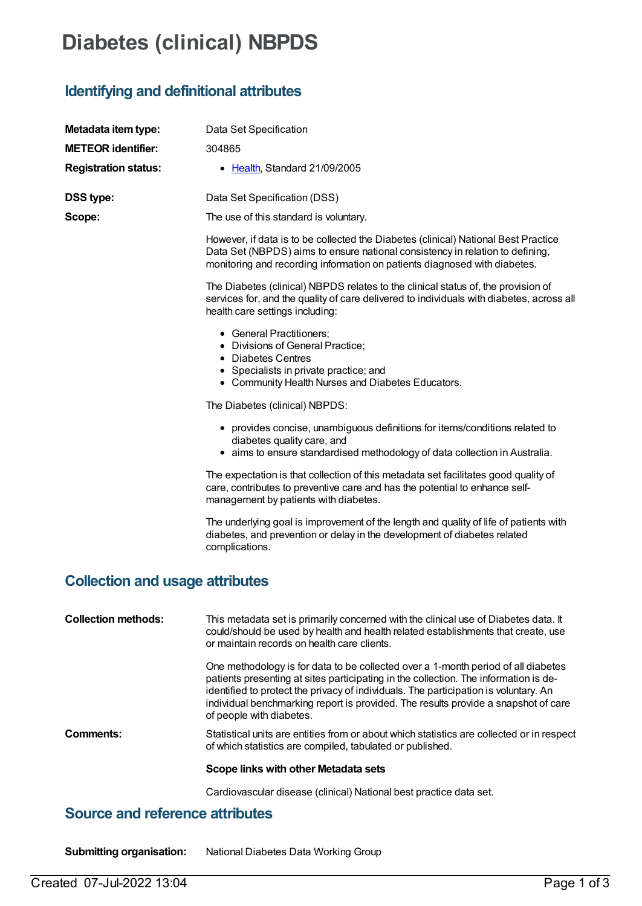# **Diabetes (clinical) NBPDS**

# **Identifying and definitional attributes**

| Metadata item type:                    | Data Set Specification                                                                                                                                                                                                                                                                                                                                                              |
|----------------------------------------|-------------------------------------------------------------------------------------------------------------------------------------------------------------------------------------------------------------------------------------------------------------------------------------------------------------------------------------------------------------------------------------|
| <b>METEOR identifier:</b>              | 304865                                                                                                                                                                                                                                                                                                                                                                              |
| <b>Registration status:</b>            | • Health, Standard 21/09/2005                                                                                                                                                                                                                                                                                                                                                       |
| DSS type:                              | Data Set Specification (DSS)                                                                                                                                                                                                                                                                                                                                                        |
| Scope:                                 | The use of this standard is voluntary.                                                                                                                                                                                                                                                                                                                                              |
|                                        | However, if data is to be collected the Diabetes (clinical) National Best Practice<br>Data Set (NBPDS) aims to ensure national consistency in relation to defining,<br>monitoring and recording information on patients diagnosed with diabetes.                                                                                                                                    |
|                                        | The Diabetes (clinical) NBPDS relates to the clinical status of, the provision of<br>services for, and the quality of care delivered to individuals with diabetes, across all<br>health care settings including:                                                                                                                                                                    |
|                                        | • General Practitioners;<br>• Divisions of General Practice;<br>• Diabetes Centres                                                                                                                                                                                                                                                                                                  |
|                                        | • Specialists in private practice; and<br>• Community Health Nurses and Diabetes Educators.                                                                                                                                                                                                                                                                                         |
|                                        | The Diabetes (clinical) NBPDS:                                                                                                                                                                                                                                                                                                                                                      |
|                                        | • provides concise, unambiguous definitions for items/conditions related to<br>diabetes quality care, and<br>• aims to ensure standardised methodology of data collection in Australia.                                                                                                                                                                                             |
|                                        | The expectation is that collection of this metadata set facilitates good quality of<br>care, contributes to preventive care and has the potential to enhance self-<br>management by patients with diabetes.                                                                                                                                                                         |
|                                        | The underlying goal is improvement of the length and quality of life of patients with<br>diabetes, and prevention or delay in the development of diabetes related<br>complications.                                                                                                                                                                                                 |
| <b>Collection and usage attributes</b> |                                                                                                                                                                                                                                                                                                                                                                                     |
| <b>Collection methods:</b>             | This metadata set is primarily concerned with the clinical use of Diabetes data. It<br>could/should be used by health and health related establishments that create, use<br>or maintain records on health care clients.                                                                                                                                                             |
|                                        | One methodology is for data to be collected over a 1-month period of all diabetes<br>patients presenting at sites participating in the collection. The information is de-<br>identified to protect the privacy of individuals. The participation is voluntary. An<br>individual benchmarking report is provided. The results provide a snapshot of care<br>of people with diabetes. |
| Comments:                              | Statistical units are entities from or about which statistics are collected or in respect<br>of which statistics are compiled, tabulated or published.                                                                                                                                                                                                                              |
|                                        | Scope links with other Metadata sets                                                                                                                                                                                                                                                                                                                                                |
|                                        | Cardiovascular disease (clinical) National best practice data set.                                                                                                                                                                                                                                                                                                                  |

### **Source and reference attributes**

**Submitting organisation:** National Diabetes Data Working Group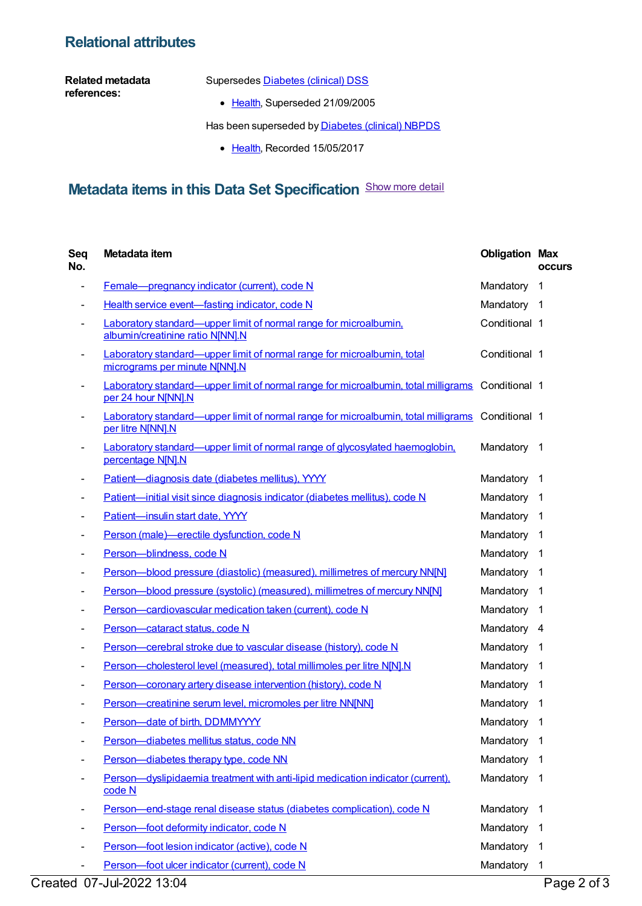#### **Relational attributes**

**Related metadata references:**

Supersedes **[Diabetes](https://meteor.aihw.gov.au/content/273054)** (clinical) DSS

• [Health](https://meteor.aihw.gov.au/RegistrationAuthority/12), Superseded 21/09/2005

Has been superseded by **[Diabetes](https://meteor.aihw.gov.au/content/621784) (clinical) NBPDS** 

• [Health](https://meteor.aihw.gov.au/RegistrationAuthority/12), Recorded 15/05/2017

# **Metadata items in this Data Set Specification** Show more detail

| Seq<br>No.               | Metadata item                                                                                                           | <b>Obligation Max</b> | <b>occurs</b>           |
|--------------------------|-------------------------------------------------------------------------------------------------------------------------|-----------------------|-------------------------|
|                          | Female-pregnancy indicator (current), code N                                                                            | Mandatory             | $\mathbf{1}$            |
|                          | Health service event-fasting indicator, code N                                                                          | Mandatory 1           |                         |
|                          | <b>Laboratory standard—upper limit of normal range for microalbumin.</b><br>albumin/creatinine ratio N[NN].N            | Conditional 1         |                         |
| $\overline{\phantom{a}}$ | Laboratory standard—upper limit of normal range for microalbumin, total<br>micrograms per minute N[NN].N                | Conditional 1         |                         |
|                          | Laboratory standard—upper limit of normal range for microalbumin, total milligrams Conditional 1<br>per 24 hour N[NN].N |                       |                         |
|                          | Laboratory standard—upper limit of normal range for microalbumin, total milligrams Conditional 1<br>per litre N[NN].N   |                       |                         |
|                          | Laboratory standard—upper limit of normal range of glycosylated haemoglobin,<br>percentage N[N].N                       | Mandatory             | $\overline{1}$          |
|                          | Patient-diagnosis date (diabetes mellitus), YYYY                                                                        | Mandatory             | $\overline{\mathbf{1}}$ |
|                          | Patient-initial visit since diagnosis indicator (diabetes mellitus), code N                                             | Mandatory             | $\overline{\mathbf{1}}$ |
|                          | Patient-insulin start date, YYYY                                                                                        | Mandatory             | $\overline{\mathbf{1}}$ |
|                          | Person (male)-erectile dysfunction, code N                                                                              | Mandatory             | -1                      |
|                          | Person-blindness, code N                                                                                                | Mandatory             | -1                      |
|                          | Person-blood pressure (diastolic) (measured), millimetres of mercury NN[N]                                              | Mandatory             | -1                      |
|                          | Person-blood pressure (systolic) (measured), millimetres of mercury NN[N]                                               | Mandatory             | -1                      |
|                          | Person-cardiovascular medication taken (current), code N                                                                | Mandatory             | -1                      |
|                          | Person-cataract status, code N                                                                                          | Mandatory 4           |                         |
|                          | Person-cerebral stroke due to vascular disease (history), code N                                                        | Mandatory             | -1                      |
|                          | Person-cholesterol level (measured), total millimoles per litre N[N].N                                                  | Mandatory             | $\overline{1}$          |
|                          | Person-coronary artery disease intervention (history), code N                                                           | Mandatory             | $\overline{\mathbf{1}}$ |
|                          | Person-creatinine serum level, micromoles per litre NN[NN]                                                              | Mandatory             | -1                      |
|                          | Person-date of birth, DDMMYYYY                                                                                          | Mandatory             | 1                       |
| -                        | Person-diabetes mellitus status, code NN                                                                                | Mandatory             | 1                       |
|                          | Person-diabetes therapy type, code NN                                                                                   | Mandatory             | 1                       |
|                          | Person—dyslipidaemia treatment with anti-lipid medication indicator (current),<br>code N                                | Mandatory             | -1                      |
|                          | Person-end-stage renal disease status (diabetes complication), code N                                                   | Mandatory             | -1                      |
|                          | Person-foot deformity indicator, code N                                                                                 | Mandatory             | $\mathbf{1}$            |
|                          | Person-foot lesion indicator (active), code N                                                                           | Mandatory             | - 1                     |
| ۰                        | Person-foot ulcer indicator (current), code N                                                                           | Mandatory 1           |                         |